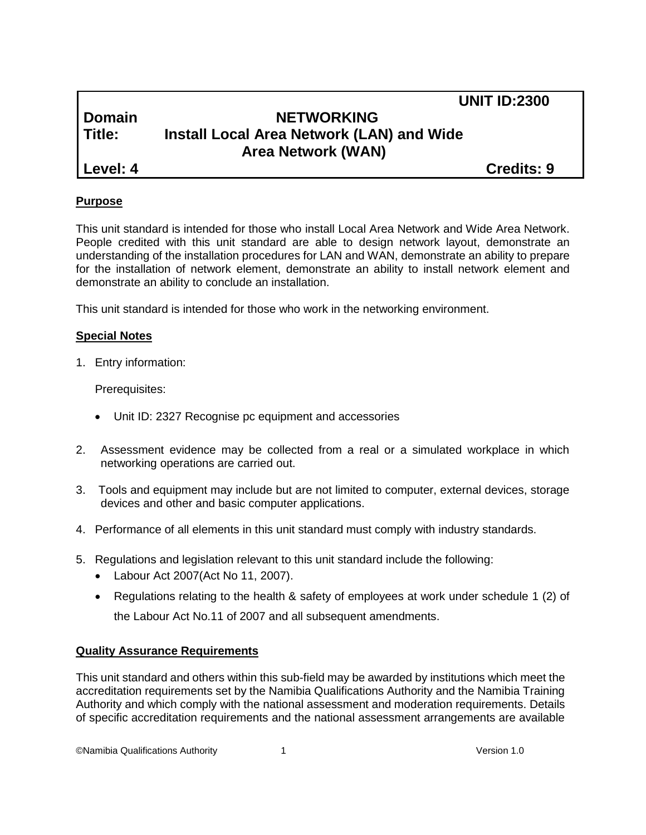# **Domain NETWORKING Title: Install Local Area Network (LAN) and Wide Area Network (WAN)**

**Level: 4 Credits: 9**

 **UNIT ID:2300**

## **Purpose**

This unit standard is intended for those who install Local Area Network and Wide Area Network. People credited with this unit standard are able to design network layout, demonstrate an understanding of the installation procedures for LAN and WAN, demonstrate an ability to prepare for the installation of network element, demonstrate an ability to install network element and demonstrate an ability to conclude an installation.

This unit standard is intended for those who work in the networking environment.

## **Special Notes**

1. Entry information:

Prerequisites:

- Unit ID: 2327 Recognise pc equipment and accessories
- 2. Assessment evidence may be collected from a real or a simulated workplace in which networking operations are carried out.
- 3. Tools and equipment may include but are not limited to computer, external devices, storage devices and other and basic computer applications.
- 4. Performance of all elements in this unit standard must comply with industry standards.
- 5. Regulations and legislation relevant to this unit standard include the following:
	- Labour Act 2007(Act No 11, 2007).
	- Regulations relating to the health & safety of employees at work under schedule 1 (2) of the Labour Act No.11 of 2007 and all subsequent amendments.

## **Quality Assurance Requirements**

This unit standard and others within this sub-field may be awarded by institutions which meet the accreditation requirements set by the Namibia Qualifications Authority and the Namibia Training Authority and which comply with the national assessment and moderation requirements. Details of specific accreditation requirements and the national assessment arrangements are available

©Namibia Qualifications Authority 1 Version 1.0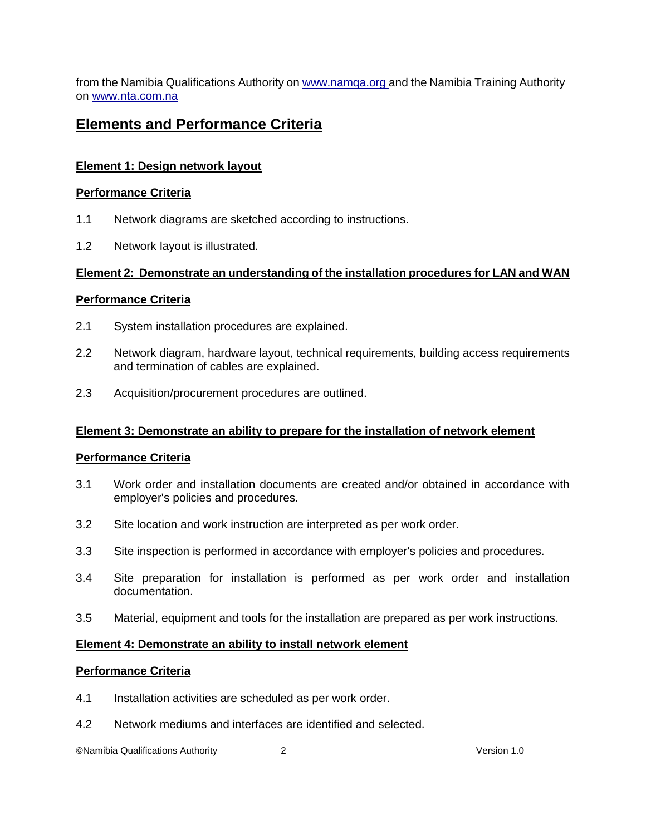from the Namibia Qualifications Authority o[n www.namqa.org a](http://www.namqa.org/)nd the Namibia Training Authority on [www.nta.com.na](http://www.nta.com.na/)

## **Elements and Performance Criteria**

#### **Element 1: Design network layout**

#### **Performance Criteria**

- 1.1 Network diagrams are sketched according to instructions.
- 1.2 Network layout is illustrated.

#### **Element 2: Demonstrate an understanding of the installation procedures for LAN and WAN**

#### **Performance Criteria**

- 2.1 System installation procedures are explained.
- 2.2 Network diagram, hardware layout, technical requirements, building access requirements and termination of cables are explained.
- 2.3 Acquisition/procurement procedures are outlined.

## **Element 3: Demonstrate an ability to prepare for the installation of network element**

#### **Performance Criteria**

- 3.1 Work order and installation documents are created and/or obtained in accordance with employer's policies and procedures.
- 3.2 Site location and work instruction are interpreted as per work order.
- 3.3 Site inspection is performed in accordance with employer's policies and procedures.
- 3.4 Site preparation for installation is performed as per work order and installation documentation.
- 3.5 Material, equipment and tools for the installation are prepared as per work instructions.

#### **Element 4: Demonstrate an ability to install network element**

#### **Performance Criteria**

- 4.1 Installation activities are scheduled as per work order.
- 4.2 Network mediums and interfaces are identified and selected.

©Namibia Qualifications Authority 2 Version 1.0